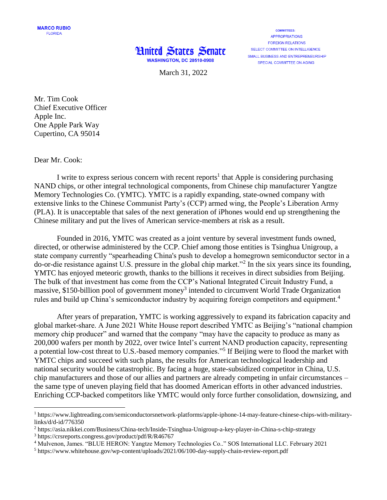

**COMMITTEES: APPROPRIATIONS FOREIGN RELATIONS** SELECT COMMITTEE ON INTELLIGENCE SMALL BUSINESS AND ENTREPRENEURSHIP SPECIAL COMMITTEE ON AGING

March 31, 2022

Mr. Tim Cook Chief Executive Officer Apple Inc. One Apple Park Way Cupertino, CA 95014

Dear Mr. Cook:

 $\overline{a}$ 

I write to express serious concern with recent reports<sup>1</sup> that Apple is considering purchasing NAND chips, or other integral technological components, from Chinese chip manufacturer Yangtze Memory Technologies Co. (YMTC). YMTC is a rapidly expanding, state-owned company with extensive links to the Chinese Communist Party's (CCP) armed wing, the People's Liberation Army (PLA). It is unacceptable that sales of the next generation of iPhones would end up strengthening the Chinese military and put the lives of American service-members at risk as a result.

Founded in 2016, YMTC was created as a joint venture by several investment funds owned, directed, or otherwise administered by the CCP. Chief among those entities is Tsinghua Unigroup, a state company currently "spearheading China's push to develop a homegrown semiconductor sector in a do-or-die resistance against U.S. pressure in the global chip market."<sup>2</sup> In the six years since its founding, YMTC has enjoyed meteoric growth, thanks to the billions it receives in direct subsidies from Beijing. The bulk of that investment has come from the CCP's National Integrated Circuit Industry Fund, a massive, \$150-billion pool of government money<sup>3</sup> intended to circumvent World Trade Organization rules and build up China's semiconductor industry by acquiring foreign competitors and equipment.<sup>4</sup>

After years of preparation, YMTC is working aggressively to expand its fabrication capacity and global market-share. A June 2021 White House report described YMTC as Beijing's "national champion memory chip producer" and warned that the company "may have the capacity to produce as many as 200,000 wafers per month by 2022, over twice Intel's current NAND production capacity, representing a potential low-cost threat to U.S.-based memory companies."<sup>5</sup> If Beijing were to flood the market with YMTC chips and succeed with such plans, the results for American technological leadership and national security would be catastrophic. By facing a huge, state-subsidized competitor in China, U.S. chip manufacturers and those of our allies and partners are already competing in unfair circumstances – the same type of uneven playing field that has doomed American efforts in other advanced industries. Enriching CCP-backed competitors like YMTC would only force further consolidation, downsizing, and

 $1$  https://www.lightreading.com/semiconductorsnetwork-platforms/apple-iphone-14-may-feature-chinese-chips-with-militarylinks/d/d-id/776350

<sup>2</sup> https://asia.nikkei.com/Business/China-tech/Inside-Tsinghua-Unigroup-a-key-player-in-China-s-chip-strategy

<sup>3</sup> https://crsreports.congress.gov/product/pdf/R/R46767

<sup>4</sup> Mulvenon, James. "BLUE HERON: Yangtze Memory Technologies Co.." SOS International LLC. February 2021

<sup>5</sup> https://www.whitehouse.gov/wp-content/uploads/2021/06/100-day-supply-chain-review-report.pdf